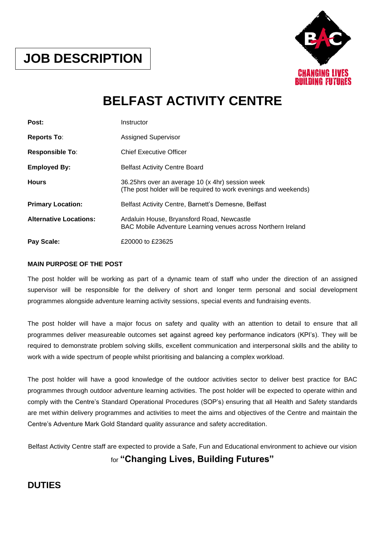

# **BELFAST ACTIVITY CENTRE**

| Post:                         | Instructor                                                                                                           |
|-------------------------------|----------------------------------------------------------------------------------------------------------------------|
| <b>Reports To:</b>            | <b>Assigned Supervisor</b>                                                                                           |
| <b>Responsible To:</b>        | <b>Chief Executive Officer</b>                                                                                       |
| <b>Employed By:</b>           | <b>Belfast Activity Centre Board</b>                                                                                 |
| <b>Hours</b>                  | 36.25hrs over an average 10 (x 4hr) session week<br>(The post holder will be required to work evenings and weekends) |
| <b>Primary Location:</b>      | Belfast Activity Centre, Barnett's Demesne, Belfast                                                                  |
| <b>Alternative Locations:</b> | Ardaluin House, Bryansford Road, Newcastle<br>BAC Mobile Adventure Learning venues across Northern Ireland           |
| Pay Scale:                    | £20000 to £23625                                                                                                     |

#### **MAIN PURPOSE OF THE POST**

The post holder will be working as part of a dynamic team of staff who under the direction of an assigned supervisor will be responsible for the delivery of short and longer term personal and social development programmes alongside adventure learning activity sessions, special events and fundraising events.

The post holder will have a major focus on safety and quality with an attention to detail to ensure that all programmes deliver measureable outcomes set against agreed key performance indicators (KPI's). They will be required to demonstrate problem solving skills, excellent communication and interpersonal skills and the ability to work with a wide spectrum of people whilst prioritising and balancing a complex workload.

The post holder will have a good knowledge of the outdoor activities sector to deliver best practice for BAC programmes through outdoor adventure learning activities. The post holder will be expected to operate within and comply with the Centre's Standard Operational Procedures (SOP's) ensuring that all Health and Safety standards are met within delivery programmes and activities to meet the aims and objectives of the Centre and maintain the Centre's Adventure Mark Gold Standard quality assurance and safety accreditation.

Belfast Activity Centre staff are expected to provide a Safe, Fun and Educational environment to achieve our vision

## for **"Changing Lives, Building Futures"**

## **DUTIES**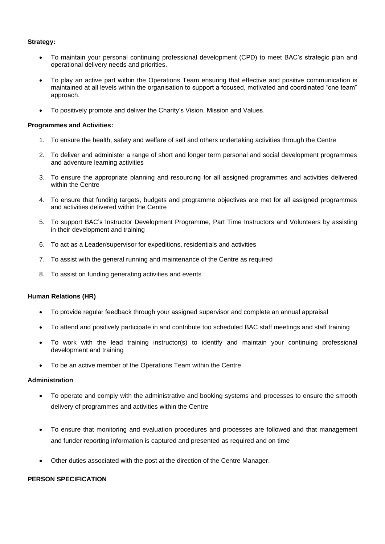#### **Strategy:**

- To maintain your personal continuing professional development (CPD) to meet BAC's strategic plan and operational delivery needs and priorities.
- To play an active part within the Operations Team ensuring that effective and positive communication is maintained at all levels within the organisation to support a focused, motivated and coordinated "one team" approach.
- To positively promote and deliver the Charity's Vision, Mission and Values.

#### **Programmes and Activities:**

- 1. To ensure the health, safety and welfare of self and others undertaking activities through the Centre
- 2. To deliver and administer a range of short and longer term personal and social development programmes and adventure learning activities
- 3. To ensure the appropriate planning and resourcing for all assigned programmes and activities delivered within the Centre
- 4. To ensure that funding targets, budgets and programme objectives are met for all assigned programmes and activities delivered within the Centre
- 5. To support BAC's Instructor Development Programme, Part Time Instructors and Volunteers by assisting in their development and training
- 6. To act as a Leader/supervisor for expeditions, residentials and activities
- 7. To assist with the general running and maintenance of the Centre as required
- 8. To assist on funding generating activities and events

#### **Human Relations (HR)**

- To provide regular feedback through your assigned supervisor and complete an annual appraisal
- To attend and positively participate in and contribute too scheduled BAC staff meetings and staff training
- To work with the lead training instructor(s) to identify and maintain your continuing professional development and training
- To be an active member of the Operations Team within the Centre

#### **Administration**

- To operate and comply with the administrative and booking systems and processes to ensure the smooth delivery of programmes and activities within the Centre
- To ensure that monitoring and evaluation procedures and processes are followed and that management and funder reporting information is captured and presented as required and on time
- Other duties associated with the post at the direction of the Centre Manager.

#### **PERSON SPECIFICATION**